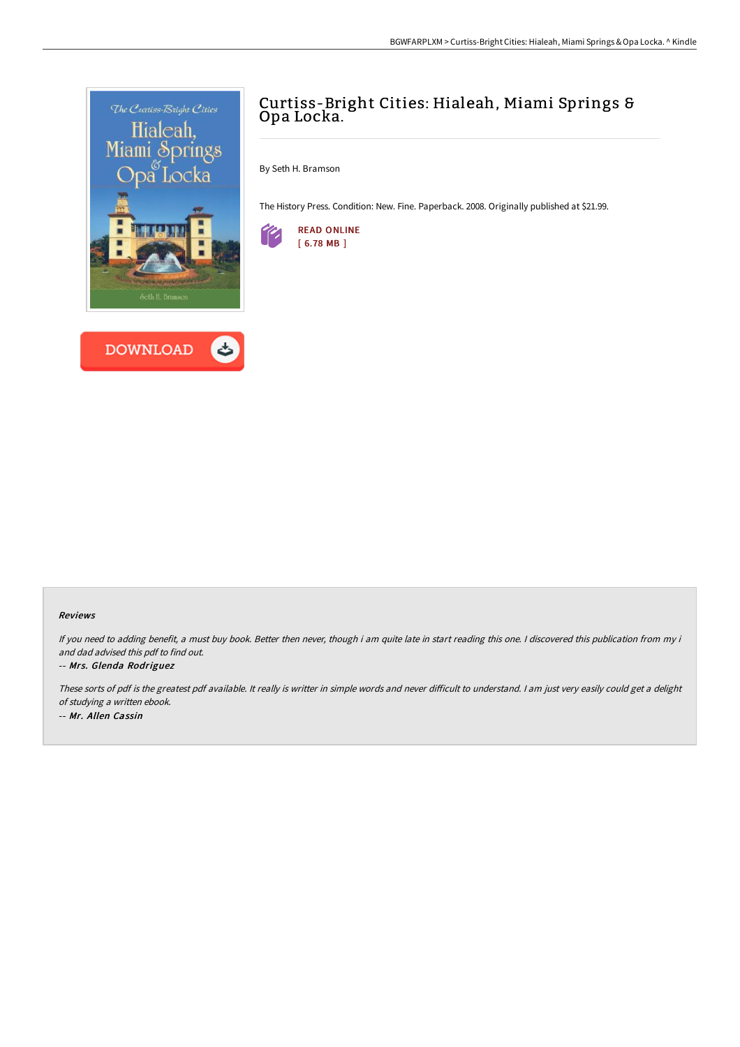



# Curtiss-Bright Cities: Hialeah, Miami Springs & Opa Locka.

By Seth H. Bramson

The History Press. Condition: New. Fine. Paperback. 2008. Originally published at \$21.99.



### Reviews

If you need to adding benefit, a must buy book. Better then never, though i am quite late in start reading this one. I discovered this publication from my i and dad advised this pdf to find out.

### -- Mrs. Glenda Rodriguez

These sorts of pdf is the greatest pdf available. It really is writter in simple words and never difficult to understand. I am just very easily could get a delight of studying <sup>a</sup> written ebook. -- Mr. Allen Cassin